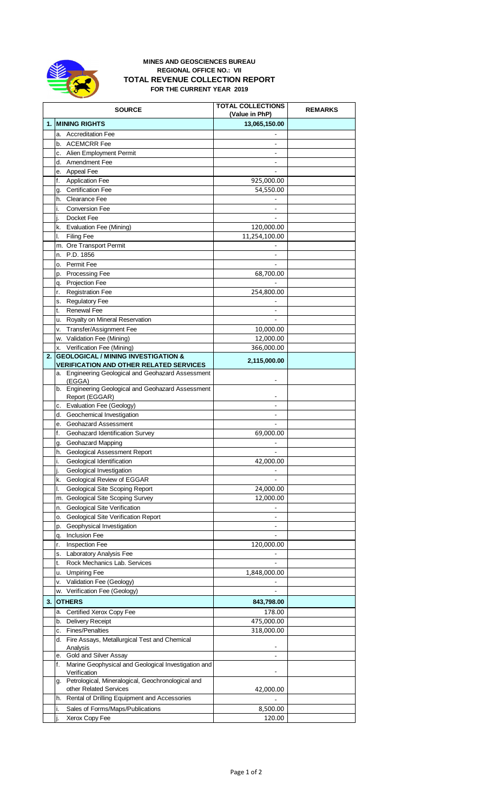

## **MINES AND GEOSCIENCES BUREAU REGIONAL OFFICE NO.: VII TOTAL REVENUE COLLECTION REPORT FOR THE CURRENT YEAR 2019**

|    | <b>SOURCE</b>                                                             | <b>TOTAL COLLECTIONS</b><br>(Value in PhP) | <b>REMARKS</b> |
|----|---------------------------------------------------------------------------|--------------------------------------------|----------------|
| 1. | <b>MINING RIGHTS</b>                                                      | 13,065,150.00                              |                |
|    | a. Accreditation Fee                                                      |                                            |                |
|    | b. ACEMCRR Fee                                                            | $\overline{\phantom{a}}$                   |                |
|    | c. Alien Employment Permit                                                |                                            |                |
|    | d. Amendment Fee                                                          | ÷.                                         |                |
|    | e. Appeal Fee                                                             |                                            |                |
|    | f.<br><b>Application Fee</b>                                              | 925,000.00                                 |                |
|    | g. Certification Fee                                                      | 54,550.00                                  |                |
|    | h. Clearance Fee<br>i.<br><b>Conversion Fee</b>                           |                                            |                |
|    | j.<br>Docket Fee                                                          |                                            |                |
|    | k. Evaluation Fee (Mining)                                                | 120,000.00                                 |                |
|    | <b>Filing Fee</b><br>I.                                                   | 11,254,100.00                              |                |
|    | m. Ore Transport Permit                                                   |                                            |                |
|    | n. P.D. 1856                                                              |                                            |                |
|    | o. Permit Fee                                                             |                                            |                |
|    | p. Processing Fee                                                         | 68,700.00                                  |                |
|    | q. Projection Fee                                                         |                                            |                |
|    | <b>Registration Fee</b><br>r.                                             | 254,800.00                                 |                |
|    | s. Regulatory Fee                                                         |                                            |                |
|    | <b>Renewal Fee</b><br>t.                                                  |                                            |                |
|    | u. Royalty on Mineral Reservation<br>v. Transfer/Assignment Fee           | 10,000.00                                  |                |
|    | w. Validation Fee (Mining)                                                | 12,000.00                                  |                |
|    | x. Verification Fee (Mining)                                              | 366,000.00                                 |                |
| 2. | <b>GEOLOGICAL / MINING INVESTIGATION &amp;</b>                            |                                            |                |
|    | <b>VERIFICATION AND OTHER RELATED SERVICES</b>                            | 2,115,000.00                               |                |
|    | a. Engineering Geological and Geohazard Assessment                        |                                            |                |
|    | (EGGA)<br>b. Engineering Geological and Geohazard Assessment              |                                            |                |
|    | Report (EGGAR)                                                            |                                            |                |
|    | c. Evaluation Fee (Geology)                                               | ۰                                          |                |
|    | d. Geochemical Investigation                                              | $\overline{\phantom{a}}$                   |                |
|    | e. Geohazard Assessment                                                   |                                            |                |
|    | Geohazard Identification Survey<br>f.                                     | 69,000.00                                  |                |
|    | g. Geohazard Mapping                                                      |                                            |                |
|    | h. Geological Assessment Report<br>i.<br>Geological Identification        | 42,000.00                                  |                |
|    | Geological Investigation<br>j.                                            |                                            |                |
|    | Geological Review of EGGAR<br>k.                                          |                                            |                |
|    | Geological Site Scoping Report<br>I.                                      | 24,000.00                                  |                |
|    | m. Geological Site Scoping Survey                                         | 12,000.00                                  |                |
|    | <b>Geological Site Verification</b><br>n.                                 |                                            |                |
|    | <b>Geological Site Verification Report</b><br>0.                          |                                            |                |
|    | p. Geophysical Investigation                                              | ٠                                          |                |
|    | q. Inclusion Fee                                                          | $\overline{\phantom{a}}$                   |                |
|    | <b>Inspection Fee</b><br>r.                                               | 120,000.00                                 |                |
|    | s. Laboratory Analysis Fee<br>Rock Mechanics Lab. Services                |                                            |                |
|    | t.<br>u. Umpiring Fee                                                     | 1,848,000.00                               |                |
|    | Validation Fee (Geology)<br>۷.                                            |                                            |                |
|    | w. Verification Fee (Geology)                                             |                                            |                |
| 3. | <b>OTHERS</b>                                                             | 843,798.00                                 |                |
|    | Certified Xerox Copy Fee<br>a.                                            | 178.00                                     |                |
|    | b. Delivery Receipt                                                       | 475,000.00                                 |                |
|    | c. Fines/Penalties                                                        | 318,000.00                                 |                |
|    | d. Fire Assays, Metallurgical Test and Chemical                           |                                            |                |
|    | Analysis                                                                  |                                            |                |
|    | e. Gold and Silver Assay                                                  | $\overline{\phantom{a}}$                   |                |
|    | Marine Geophysical and Geological Investigation and<br>f.<br>Verification |                                            |                |
|    | g. Petrological, Mineralogical, Geochronological and                      |                                            |                |
|    | other Related Services                                                    | 42,000.00                                  |                |
|    | Rental of Drilling Equipment and Accessories<br>h.                        |                                            |                |
|    | Sales of Forms/Maps/Publications<br>i.                                    | 8,500.00                                   |                |
|    | Xerox Copy Fee<br>j.                                                      | 120.00                                     |                |